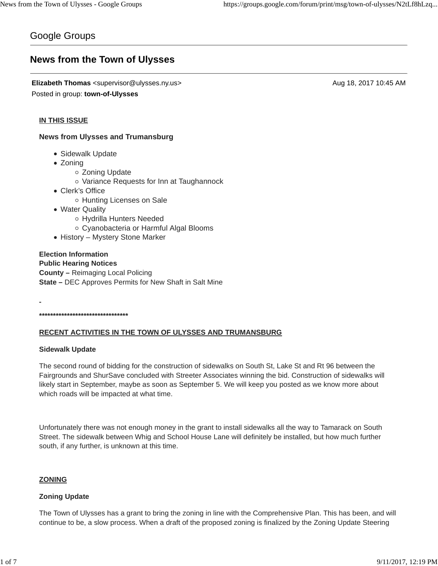# Google Groups

# **News from the Town of Ulysses**

**Elizabeth Thomas** <supervisor@ulysses.ny.us> Aug 18, 2017 10:45 AM Posted in group: **town-of-Ulysses**

## **IN THIS ISSUE**

**News from Ulysses and Trumansburg**

- Sidewalk Update
- Zoning
	- Zoning Update
	- o Variance Requests for Inn at Taughannock
- Clerk's Office
	- o Hunting Licenses on Sale
- Water Quality
	- Hydrilla Hunters Needed
	- Cyanobacteria or Harmful Algal Blooms
- History Mystery Stone Marker

# **Election Information Public Hearing Notices County –** Reimaging Local Policing **State –** DEC Approves Permits for New Shaft in Salt Mine

**\*\*\*\*\*\*\*\*\*\*\*\*\*\*\*\*\*\*\*\*\*\*\*\*\*\*\*\*\*\*\*\***

## **RECENT ACTIVITIES IN THE TOWN OF ULYSSES AND TRUMANSBURG**

#### **Sidewalk Update**

The second round of bidding for the construction of sidewalks on South St, Lake St and Rt 96 between the Fairgrounds and ShurSave concluded with Streeter Associates winning the bid. Construction of sidewalks will likely start in September, maybe as soon as September 5. We will keep you posted as we know more about which roads will be impacted at what time.

Unfortunately there was not enough money in the grant to install sidewalks all the way to Tamarack on South Street. The sidewalk between Whig and School House Lane will definitely be installed, but how much further south, if any further, is unknown at this time.

## **ZONING**

#### **Zoning Update**

The Town of Ulysses has a grant to bring the zoning in line with the Comprehensive Plan. This has been, and will continue to be, a slow process. When a draft of the proposed zoning is finalized by the Zoning Update Steering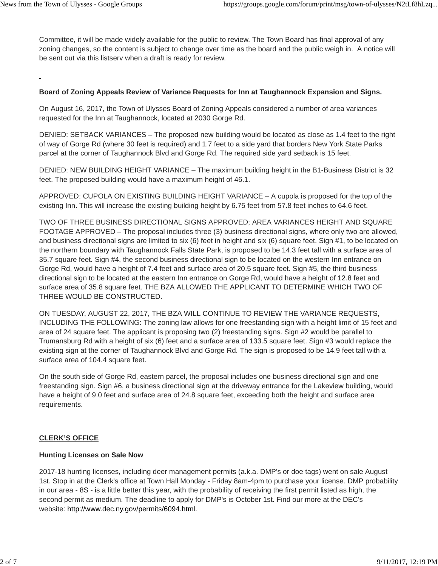Committee, it will be made widely available for the public to review. The Town Board has final approval of any zoning changes, so the content is subject to change over time as the board and the public weigh in. A notice will be sent out via this listserv when a draft is ready for review.

## **Board of Zoning Appeals Review of Variance Requests for Inn at Taughannock Expansion and Signs.**

On August 16, 2017, the Town of Ulysses Board of Zoning Appeals considered a number of area variances requested for the Inn at Taughannock, located at 2030 Gorge Rd.

DENIED: SETBACK VARIANCES – The proposed new building would be located as close as 1.4 feet to the right of way of Gorge Rd (where 30 feet is required) and 1.7 feet to a side yard that borders New York State Parks parcel at the corner of Taughannock Blvd and Gorge Rd. The required side yard setback is 15 feet.

DENIED: NEW BUILDING HEIGHT VARIANCE – The maximum building height in the B1-Business District is 32 feet. The proposed building would have a maximum height of 46.1.

APPROVED: CUPOLA ON EXISTING BUILDING HEIGHT VARIANCE – A cupola is proposed for the top of the existing Inn. This will increase the existing building height by 6.75 feet from 57.8 feet inches to 64.6 feet.

TWO OF THREE BUSINESS DIRECTIONAL SIGNS APPROVED; AREA VARIANCES HEIGHT AND SQUARE FOOTAGE APPROVED – The proposal includes three (3) business directional signs, where only two are allowed, and business directional signs are limited to six (6) feet in height and six (6) square feet. Sign #1, to be located on the northern boundary with Taughannock Falls State Park, is proposed to be 14.3 feet tall with a surface area of 35.7 square feet. Sign #4, the second business directional sign to be located on the western Inn entrance on Gorge Rd, would have a height of 7.4 feet and surface area of 20.5 square feet. Sign #5, the third business directional sign to be located at the eastern Inn entrance on Gorge Rd, would have a height of 12.8 feet and surface area of 35.8 square feet. THE BZA ALLOWED THE APPLICANT TO DETERMINE WHICH TWO OF THREE WOULD BE CONSTRUCTED.

ON TUESDAY, AUGUST 22, 2017, THE BZA WILL CONTINUE TO REVIEW THE VARIANCE REQUESTS, INCLUDING THE FOLLOWING: The zoning law allows for one freestanding sign with a height limit of 15 feet and area of 24 square feet. The applicant is proposing two (2) freestanding signs. Sign #2 would be parallel to Trumansburg Rd with a height of six (6) feet and a surface area of 133.5 square feet. Sign #3 would replace the existing sign at the corner of Taughannock Blvd and Gorge Rd. The sign is proposed to be 14.9 feet tall with a surface area of 104.4 square feet.

On the south side of Gorge Rd, eastern parcel, the proposal includes one business directional sign and one freestanding sign. Sign #6, a business directional sign at the driveway entrance for the Lakeview building, would have a height of 9.0 feet and surface area of 24.8 square feet, exceeding both the height and surface area requirements.

## **CLERK'S OFFICE**

## **Hunting Licenses on Sale Now**

2017-18 hunting licenses, including deer management permits (a.k.a. DMP's or doe tags) went on sale August 1st. Stop in at the Clerk's office at Town Hall Monday - Friday 8am-4pm to purchase your license. DMP probability in our area - 8S - is a little better this year, with the probability of receiving the first permit listed as high, the second permit as medium. The deadline to apply for DMP's is October 1st. Find our more at the DEC's website: http://www.dec.ny.gov/permits/6094.html.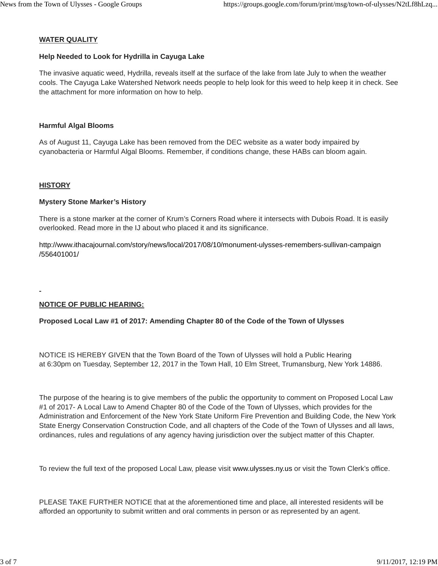## **WATER QUALITY**

## **Help Needed to Look for Hydrilla in Cayuga Lake**

The invasive aquatic weed, Hydrilla, reveals itself at the surface of the lake from late July to when the weather cools. The Cayuga Lake Watershed Network needs people to help look for this weed to help keep it in check. See the attachment for more information on how to help.

## **Harmful Algal Blooms**

As of August 11, Cayuga Lake has been removed from the DEC website as a water body impaired by cyanobacteria or Harmful Algal Blooms. Remember, if conditions change, these HABs can bloom again.

## **HISTORY**

## **Mystery Stone Marker's History**

There is a stone marker at the corner of Krum's Corners Road where it intersects with Dubois Road. It is easily overlooked. Read more in the IJ about who placed it and its significance.

http://www.ithacajournal.com/story/news/local/2017/08/10/monument-ulysses-remembers-sullivan-campaign /556401001/

# **NOTICE OF PUBLIC HEARING:**

# **Proposed Local Law #1 of 2017: Amending Chapter 80 of the Code of the Town of Ulysses**

NOTICE IS HEREBY GIVEN that the Town Board of the Town of Ulysses will hold a Public Hearing at 6:30pm on Tuesday, September 12, 2017 in the Town Hall, 10 Elm Street, Trumansburg, New York 14886.

The purpose of the hearing is to give members of the public the opportunity to comment on Proposed Local Law #1 of 2017- A Local Law to Amend Chapter 80 of the Code of the Town of Ulysses, which provides for the Administration and Enforcement of the New York State Uniform Fire Prevention and Building Code, the New York State Energy Conservation Construction Code, and all chapters of the Code of the Town of Ulysses and all laws, ordinances, rules and regulations of any agency having jurisdiction over the subject matter of this Chapter.

To review the full text of the proposed Local Law, please visit www.ulysses.ny.us or visit the Town Clerk's office.

PLEASE TAKE FURTHER NOTICE that at the aforementioned time and place, all interested residents will be afforded an opportunity to submit written and oral comments in person or as represented by an agent.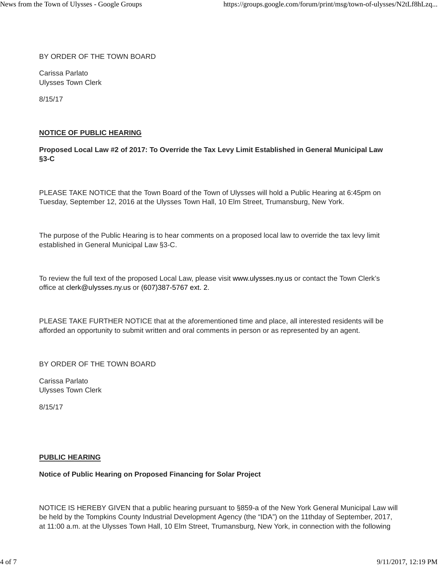BY ORDER OF THE TOWN BOARD

Carissa Parlato Ulysses Town Clerk

8/15/17

## **NOTICE OF PUBLIC HEARING**

# **Proposed Local Law #2 of 2017: To Override the Tax Levy Limit Established in General Municipal Law §3-C**

PLEASE TAKE NOTICE that the Town Board of the Town of Ulysses will hold a Public Hearing at 6:45pm on Tuesday, September 12, 2016 at the Ulysses Town Hall, 10 Elm Street, Trumansburg, New York.

The purpose of the Public Hearing is to hear comments on a proposed local law to override the tax levy limit established in General Municipal Law §3-C.

To review the full text of the proposed Local Law, please visit www.ulysses.ny.us or contact the Town Clerk's office at clerk@ulysses.ny.us or (607)387-5767 ext. 2.

PLEASE TAKE FURTHER NOTICE that at the aforementioned time and place, all interested residents will be afforded an opportunity to submit written and oral comments in person or as represented by an agent.

BY ORDER OF THE TOWN BOARD

Carissa Parlato Ulysses Town Clerk

8/15/17

## **PUBLIC HEARING**

## **Notice of Public Hearing on Proposed Financing for Solar Project**

NOTICE IS HEREBY GIVEN that a public hearing pursuant to §859-a of the New York General Municipal Law will be held by the Tompkins County Industrial Development Agency (the "IDA") on the 11thday of September, 2017, at 11:00 a.m. at the Ulysses Town Hall, 10 Elm Street, Trumansburg, New York, in connection with the following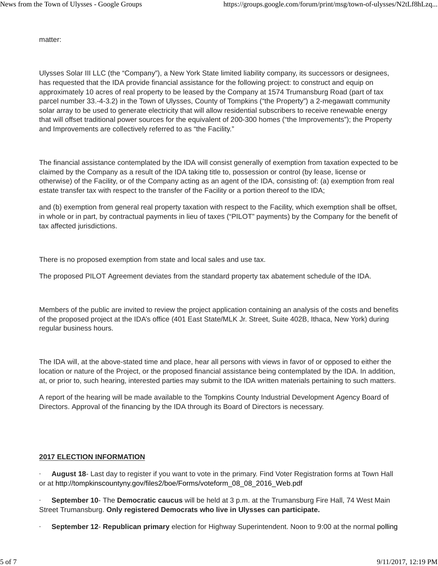matter:

Ulysses Solar III LLC (the "Company"), a New York State limited liability company, its successors or designees, has requested that the IDA provide financial assistance for the following project: to construct and equip on approximately 10 acres of real property to be leased by the Company at 1574 Trumansburg Road (part of tax parcel number 33.-4-3.2) in the Town of Ulysses, County of Tompkins ("the Property") a 2-megawatt community solar array to be used to generate electricity that will allow residential subscribers to receive renewable energy that will offset traditional power sources for the equivalent of 200-300 homes ("the Improvements"); the Property and Improvements are collectively referred to as "the Facility."

The financial assistance contemplated by the IDA will consist generally of exemption from taxation expected to be claimed by the Company as a result of the IDA taking title to, possession or control (by lease, license or otherwise) of the Facility, or of the Company acting as an agent of the IDA, consisting of: (a) exemption from real estate transfer tax with respect to the transfer of the Facility or a portion thereof to the IDA;

and (b) exemption from general real property taxation with respect to the Facility, which exemption shall be offset, in whole or in part, by contractual payments in lieu of taxes ("PILOT" payments) by the Company for the benefit of tax affected jurisdictions.

There is no proposed exemption from state and local sales and use tax.

The proposed PILOT Agreement deviates from the standard property tax abatement schedule of the IDA.

Members of the public are invited to review the project application containing an analysis of the costs and benefits of the proposed project at the IDA's office (401 East State/MLK Jr. Street, Suite 402B, Ithaca, New York) during regular business hours.

The IDA will, at the above-stated time and place, hear all persons with views in favor of or opposed to either the location or nature of the Project, or the proposed financial assistance being contemplated by the IDA. In addition, at, or prior to, such hearing, interested parties may submit to the IDA written materials pertaining to such matters.

A report of the hearing will be made available to the Tompkins County Industrial Development Agency Board of Directors. Approval of the financing by the IDA through its Board of Directors is necessary.

## **2017 ELECTION INFORMATION**

· **August 18**- Last day to register if you want to vote in the primary. Find Voter Registration forms at Town Hall or at http://tompkinscountyny.gov/files2/boe/Forms/voteform\_08\_08\_2016\_Web.pdf

· **September 10**- The **Democratic caucus** will be held at 3 p.m. at the Trumansburg Fire Hall, 74 West Main Street Trumansburg. **Only registered Democrats who live in Ulysses can participate.**

· **September 12**- **Republican primary** election for Highway Superintendent. Noon to 9:00 at the normal polling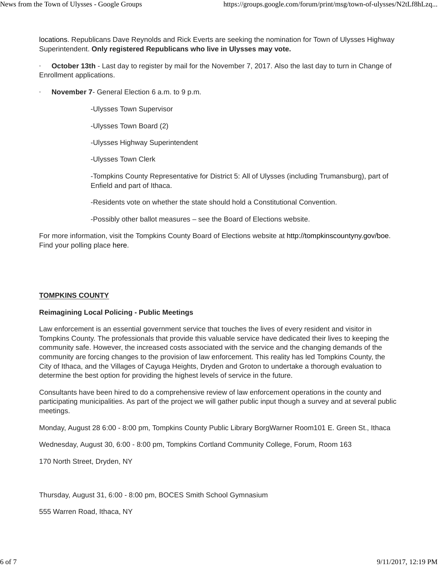locations. Republicans Dave Reynolds and Rick Everts are seeking the nomination for Town of Ulysses Highway Superintendent. **Only registered Republicans who live in Ulysses may vote.**

· **October 13th** - Last day to register by mail for the November 7, 2017. Also the last day to turn in Change of Enrollment applications.

**November 7-** General Election 6 a.m. to 9 p.m.

-Ulysses Town Supervisor

-Ulysses Town Board (2)

-Ulysses Highway Superintendent

-Ulysses Town Clerk

-Tompkins County Representative for District 5: All of Ulysses (including Trumansburg), part of Enfield and part of Ithaca.

-Residents vote on whether the state should hold a Constitutional Convention.

-Possibly other ballot measures – see the Board of Elections website.

For more information, visit the Tompkins County Board of Elections website at http://tompkinscountyny.gov/boe. Find your polling place here.

#### **TOMPKINS COUNTY**

#### **Reimagining Local Policing - Public Meetings**

Law enforcement is an essential government service that touches the lives of every resident and visitor in Tompkins County. The professionals that provide this valuable service have dedicated their lives to keeping the community safe. However, the increased costs associated with the service and the changing demands of the community are forcing changes to the provision of law enforcement. This reality has led Tompkins County, the City of Ithaca, and the Villages of Cayuga Heights, Dryden and Groton to undertake a thorough evaluation to determine the best option for providing the highest levels of service in the future.

Consultants have been hired to do a comprehensive review of law enforcement operations in the county and participating municipalities. As part of the project we will gather public input though a survey and at several public meetings.

Monday, August 28 6:00 - 8:00 pm, Tompkins County Public Library BorgWarner Room101 E. Green St., Ithaca

Wednesday, August 30, 6:00 - 8:00 pm, Tompkins Cortland Community College, Forum, Room 163

170 North Street, Dryden, NY

Thursday, August 31, 6:00 - 8:00 pm, BOCES Smith School Gymnasium

555 Warren Road, Ithaca, NY